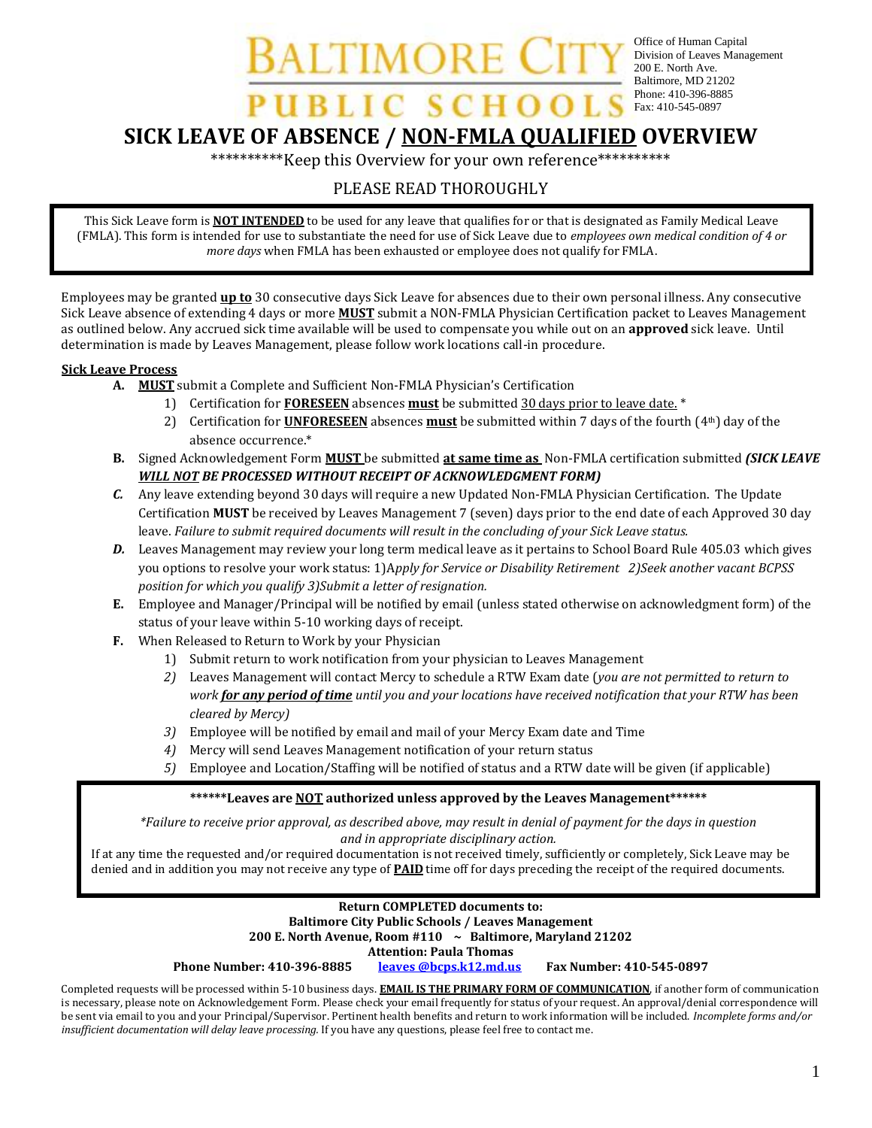Office of Human Capital Division of Leaves Management 200 E. North Ave. Baltimore, MD 21202 Phone: 410-396-8885 Fax: 410-545-0897

**SICK LEAVE OF ABSENCE / NON-FMLA QUALIFIED OVERVIEW**

**PUBLIC SCHOOLS** 

**ALTIMORE** 

\*\*\*\*\*\*\*\*\*\*Keep this Overview for your own reference\*\*\*\*\*\*\*\*\*\*

### PLEASE READ THOROUGHLY

This Sick Leave form is **NOT INTENDED** to be used for any leave that qualifies for or that is designated as Family Medical Leave (FMLA). This form is intended for use to substantiate the need for use of Sick Leave due to *employees own medical condition of 4 or more days* when FMLA has been exhausted or employee does not qualify for FMLA.

Employees may be granted **up to** 30 consecutive days Sick Leave for absences due to their own personal illness. Any consecutive Sick Leave absence of extending 4 days or more **MUST** submit a NON-FMLA Physician Certification packet to Leaves Management as outlined below. Any accrued sick time available will be used to compensate you while out on an **approved** sick leave. Until determination is made by Leaves Management, please follow work locations call-in procedure.

#### **Sick Leave Process**

- **A. MUST** submit a Complete and Sufficient Non-FMLA Physician's Certification
	- 1) Certification for **FORESEEN** absences **must** be submitted 30 days prior to leave date. \*
	- 2) Certification for **UNFORESEEN** absences **must** be submitted within 7 days of the fourth (4th) day of the absence occurrence.\*
- **B.** Signed Acknowledgement Form **MUST** be submitted **at same time as** Non-FMLA certification submitted *(SICK LEAVE WILL NOT BE PROCESSED WITHOUT RECEIPT OF ACKNOWLEDGMENT FORM)*
- *C.* Any leave extending beyond 30 days will require a new Updated Non-FMLA Physician Certification. The Update Certification **MUST** be received by Leaves Management 7 (seven) days prior to the end date of each Approved 30 day leave. *Failure to submit required documents will result in the concluding of your Sick Leave status.*
- *D.* Leaves Management may review your long term medical leave as it pertains to School Board Rule 405.03 which gives you options to resolve your work status: 1)A*pply for Service or Disability Retirement 2)Seek another vacant BCPSS position for which you qualify 3)Submit a letter of resignation.*
- **E.** Employee and Manager/Principal will be notified by email (unless stated otherwise on acknowledgment form) of the status of your leave within 5-10 working days of receipt.
- **F.** When Released to Return to Work by your Physician
	- 1) Submit return to work notification from your physician to Leaves Management
	- *2)* Leaves Management will contact Mercy to schedule a RTW Exam date (*you are not permitted to return to work for any period of time until you and your locations have received notification that your RTW has been cleared by Mercy)*
	- *3)* Employee will be notified by email and mail of your Mercy Exam date and Time
	- *4)* Mercy will send Leaves Management notification of your return status
	- *5)* Employee and Location/Staffing will be notified of status and a RTW date will be given (if applicable)

#### **\*\*\*\*\*\*Leaves are NOT authorized unless approved by the Leaves Management\*\*\*\*\*\***

*\*Failure to receive prior approval, as described above, may result in denial of payment for the days in question and in appropriate disciplinary action.*

If at any time the requested and/or required documentation is not received timely, sufficiently or completely, Sick Leave may be denied and in addition you may not receive any type of **PAID** time off for days preceding the receipt of the required documents.

#### **Return COMPLETED documents to: Baltimore City Public Schools / Leaves Management 200 E. North Avenue, Room #110 ~ Baltimore, Maryland 21202 Attention: Paula Thomas Phone Number: 410-396-8885 [leaves @bcps.k12.md.us](mailto:pjthomas@bcps.k12.md.us) Fax Number: 410-545-0897**

Completed requests will be processed within 5-10 business days. **EMAIL IS THE PRIMARY FORM OF COMMUNICATION**, if another form of communication is necessary, please note on Acknowledgement Form. Please check your email frequently for status of your request. An approval/denial correspondence will be sent via email to you and your Principal/Supervisor. Pertinent health benefits and return to work information will be included. *Incomplete forms and/or insufficient documentation will delay leave processing.* If you have any questions, please feel free to contact me.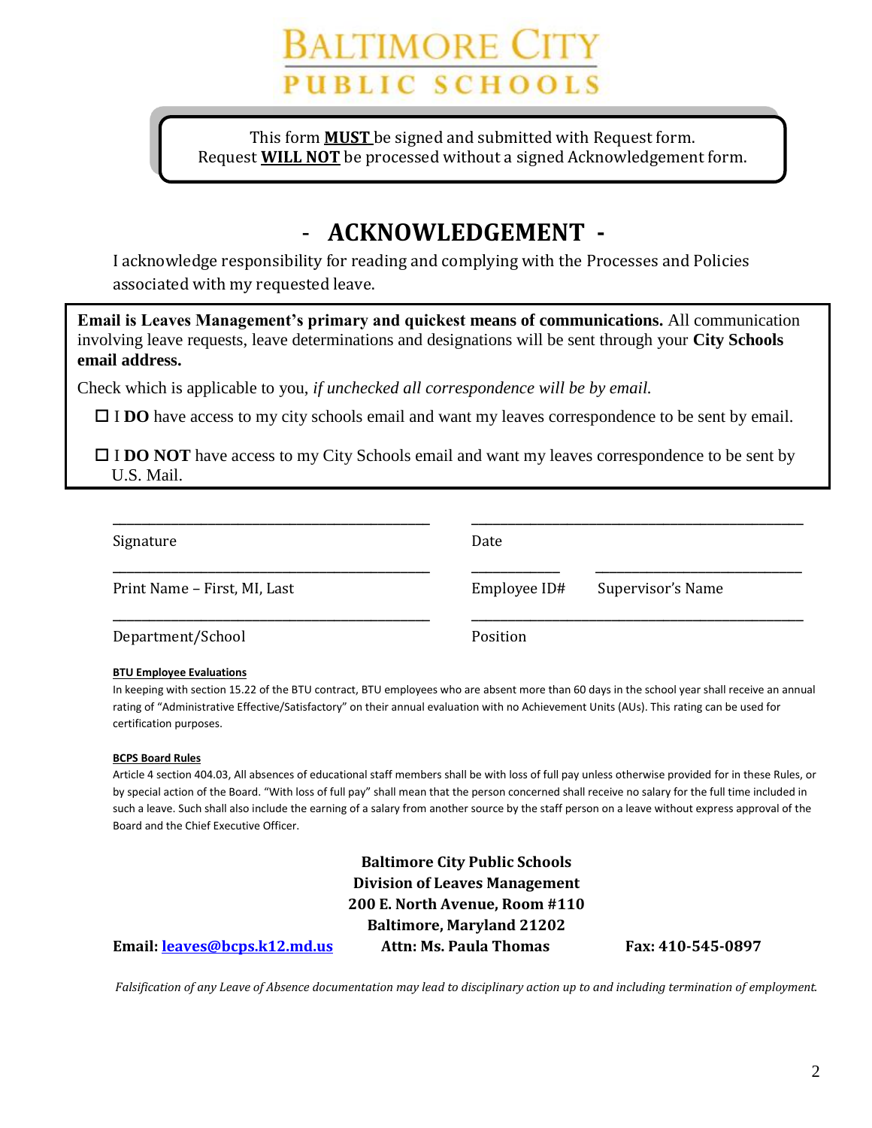# TIMORE **PUBLIC SCHOOL**

This form **MUST** be signed and submitted with Request form. Request **WILL NOT** be processed without a signed Acknowledgement form.

# - **ACKNOWLEDGEMENT -**

I acknowledge responsibility for reading and complying with the Processes and Policies associated with my requested leave.

**Email is Leaves Management's primary and quickest means of communications.** All communication involving leave requests, leave determinations and designations will be sent through your **City Schools email address.**

Check which is applicable to you, *if unchecked all correspondence will be by email.*

□ **I DO** have access to my city schools email and want my leaves correspondence to be sent by email.

□ **I DO NOT** have access to my City Schools email and want my leaves correspondence to be sent by U.S. Mail.

| Signature                    | Date         |                   |  |
|------------------------------|--------------|-------------------|--|
| Print Name - First, MI, Last | Employee ID# | Supervisor's Name |  |
| Department/School            | Position     |                   |  |

Or this alternative email address \_\_\_\_\_\_\_\_\_\_\_\_\_\_\_\_\_\_\_\_\_\_\_\_\_\_\_\_\_\_\_\_\_\_\_\_\_\_\_\_*print* 

#### **BTU Employee Evaluations**

In keeping with section 15.22 of the BTU contract, BTU employees who are absent more than 60 days in the school year shall receive an annual rating of "Administrative Effective/Satisfactory" on their annual evaluation with no Achievement Units (AUs). This rating can be used for certification purposes.

#### **BCPS Board Rules**

Article 4 section 404.03, All absences of educational staff members shall be with loss of full pay unless otherwise provided for in these Rules, or by special action of the Board. "With loss of full pay" shall mean that the person concerned shall receive no salary for the full time included in such a leave. Such shall also include the earning of a salary from another source by the staff person on a leave without express approval of the Board and the Chief Executive Officer.

**Baltimore City Public Schools Division of Leaves Management 200 E. North Avenue, Room #110 Baltimore, Maryland 21202 Email[: leaves@bcps.k12.md.us](mailto:leaves@bcps.k12.md.us) Attn: Ms. Paula Thomas Fax: 410-545-0897**

*Falsification of any Leave of Absence documentation may lead to disciplinary action up to and including termination of employment.*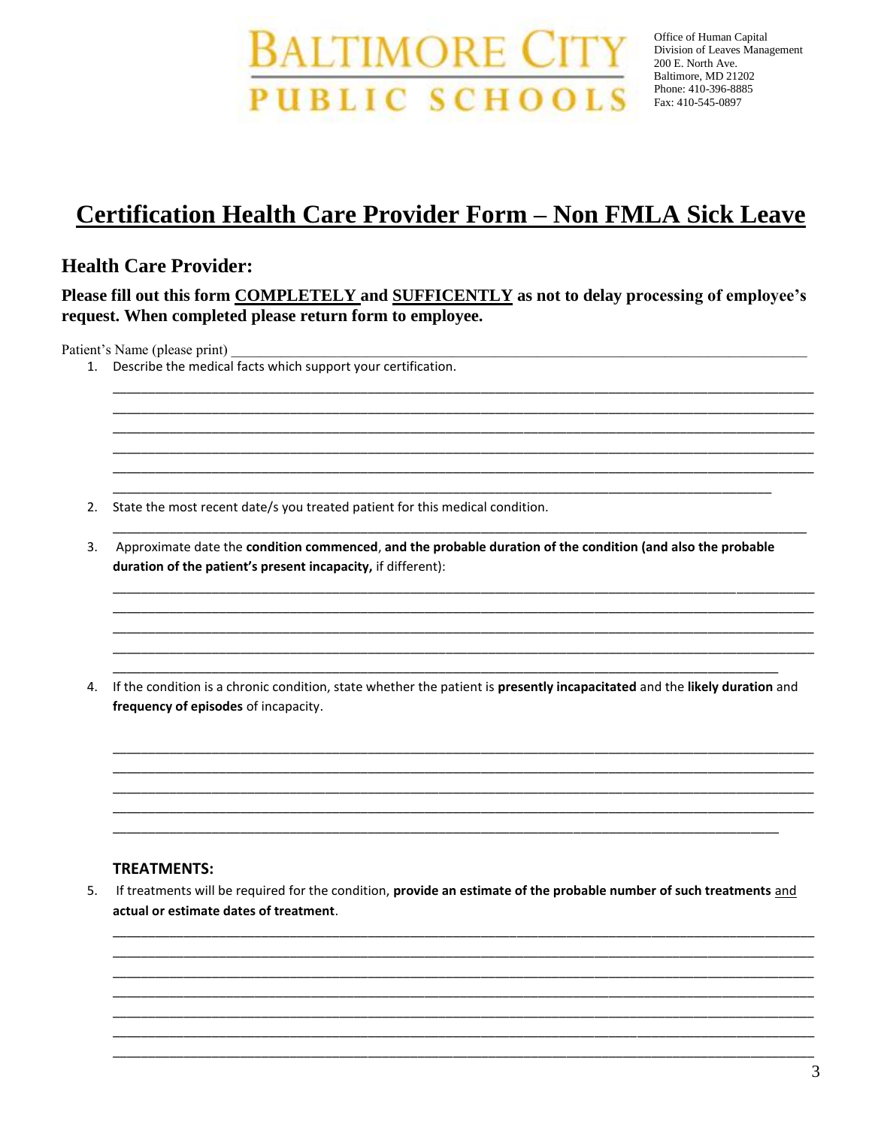**BALTIMORE CI PUBLIC SCHOOL** 

Office of Human Capital Division of Leaves Management 200 E. North Ave. Baltimore, MD 21202 Phone: 410-396-8885 Fax: 410-545-0897

# **Certification Health Care Provider Form - Non FMLA Sick Leave**

## **Health Care Provider:**

### Please fill out this form COMPLETELY and SUFFICENTLY as not to delay processing of employee's request. When completed please return form to employee.

Patient's Name (please print)

1. Describe the medical facts which support your certification.

- 2. State the most recent date/s you treated patient for this medical condition.
- 3. Approximate date the condition commenced, and the probable duration of the condition (and also the probable duration of the patient's present incapacity, if different):
- 4. If the condition is a chronic condition, state whether the patient is presently incapacitated and the likely duration and frequency of episodes of incapacity.

#### **TREATMENTS:**

5. If treatments will be required for the condition, provide an estimate of the probable number of such treatments and actual or estimate dates of treatment.